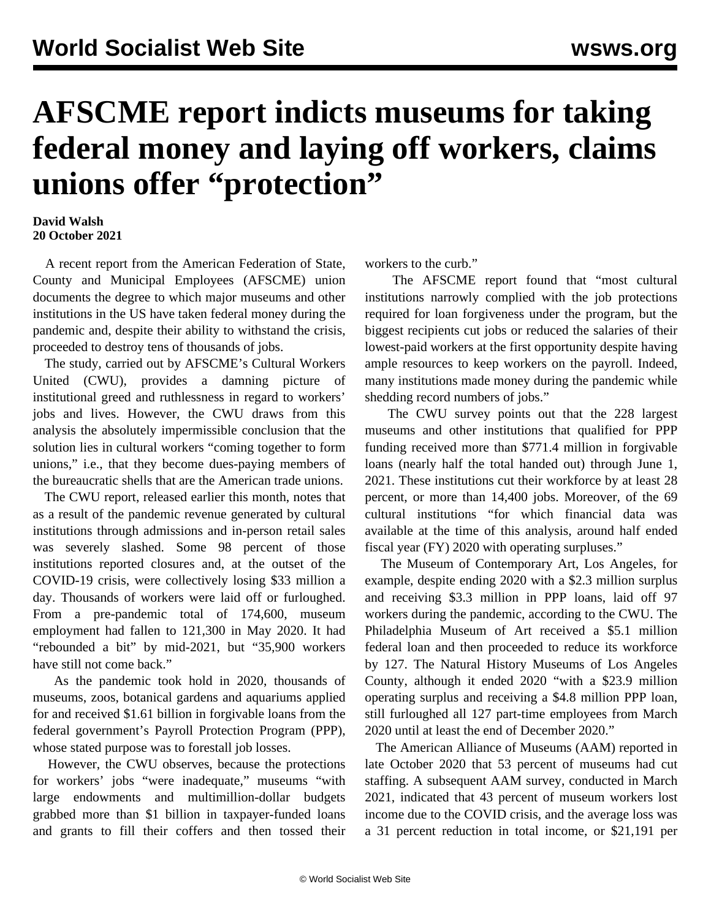## **AFSCME report indicts museums for taking federal money and laying off workers, claims unions offer "protection"**

## **David Walsh 20 October 2021**

 A recent report from the American Federation of State, County and Municipal Employees (AFSCME) union documents the degree to which major museums and other institutions in the US have taken federal money during the pandemic and, despite their ability to withstand the crisis, proceeded to destroy tens of thousands of jobs.

 The study, carried out by AFSCME's Cultural Workers United (CWU), provides a damning picture of institutional greed and ruthlessness in regard to workers' jobs and lives. However, the CWU draws from this analysis the absolutely impermissible conclusion that the solution lies in cultural workers "coming together to form unions," i.e., that they become dues-paying members of the bureaucratic shells that are the American trade unions.

 The CWU report, released earlier this month, notes that as a result of the pandemic revenue generated by cultural institutions through admissions and in-person retail sales was severely slashed. Some 98 percent of those institutions reported closures and, at the outset of the COVID-19 crisis, were collectively losing \$33 million a day. Thousands of workers were laid off or furloughed. From a pre-pandemic total of 174,600, museum employment had fallen to 121,300 in May 2020. It had "rebounded a bit" by mid-2021, but "35,900 workers have still not come back."

 As the pandemic took hold in 2020, thousands of museums, zoos, botanical gardens and aquariums applied for and received \$1.61 billion in forgivable loans from the federal government's Payroll Protection Program (PPP), whose stated purpose was to forestall job losses.

 However, the CWU observes, because the protections for workers' jobs "were inadequate," museums "with large endowments and multimillion-dollar budgets grabbed more than \$1 billion in taxpayer-funded loans and grants to fill their coffers and then tossed their workers to the curb."

 The AFSCME report found that "most cultural institutions narrowly complied with the job protections required for loan forgiveness under the program, but the biggest recipients cut jobs or reduced the salaries of their lowest-paid workers at the first opportunity despite having ample resources to keep workers on the payroll. Indeed, many institutions made money during the pandemic while shedding record numbers of jobs."

 The CWU survey points out that the 228 largest museums and other institutions that qualified for PPP funding received more than \$771.4 million in forgivable loans (nearly half the total handed out) through June 1, 2021. These institutions cut their workforce by at least 28 percent, or more than 14,400 jobs. Moreover, of the 69 cultural institutions "for which financial data was available at the time of this analysis, around half ended fiscal year (FY) 2020 with operating surpluses."

 The Museum of Contemporary Art, Los Angeles, for example, despite ending 2020 with a \$2.3 million surplus and receiving \$3.3 million in PPP loans, laid off 97 workers during the pandemic, according to the CWU. The Philadelphia Museum of Art received a \$5.1 million federal loan and then proceeded to reduce its workforce by 127. The Natural History Museums of Los Angeles County, although it ended 2020 "with a \$23.9 million operating surplus and receiving a \$4.8 million PPP loan, still furloughed all 127 part-time employees from March 2020 until at least the end of December 2020."

 The American Alliance of Museums (AAM) reported in late October 2020 that 53 percent of museums had cut staffing. A subsequent AAM survey, conducted in March 2021, indicated that 43 percent of museum workers lost income due to the COVID crisis, and the average loss was a 31 percent reduction in total income, or \$21,191 per